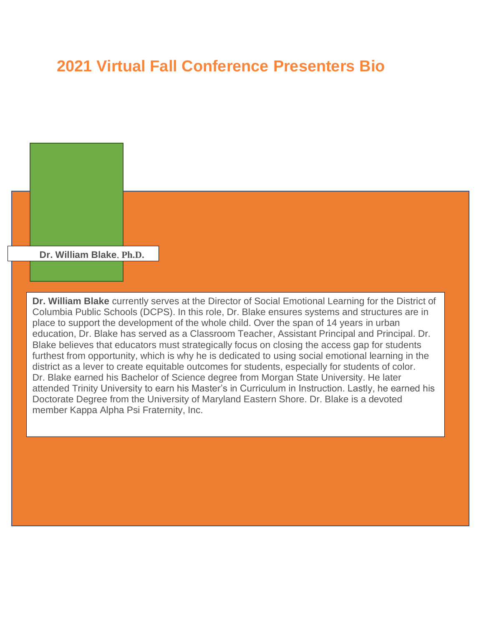## **2021 Virtual Fall Conference Presenters Bio**

 **Dr. William Blake**, **Ph.D.**

**Dr. William Blake** currently serves at the Director of Social Emotional Learning for the District of Columbia Public Schools (DCPS). In this role, Dr. Blake ensures systems and structures are in place to support the development of the whole child. Over the span of 14 years in urban education, Dr. Blake has served as a Classroom Teacher, Assistant Principal and Principal. Dr. Blake believes that educators must strategically focus on closing the access gap for students furthest from opportunity, which is why he is dedicated to using social emotional learning in the district as a lever to create equitable outcomes for students, especially for students of color. Dr. Blake earned his Bachelor of Science degree from Morgan State University. He later attended Trinity University to earn his Master's in Curriculum in Instruction. Lastly, he earned his Doctorate Degree from the University of Maryland Eastern Shore. Dr. Blake is a devoted member Kappa Alpha Psi Fraternity, Inc.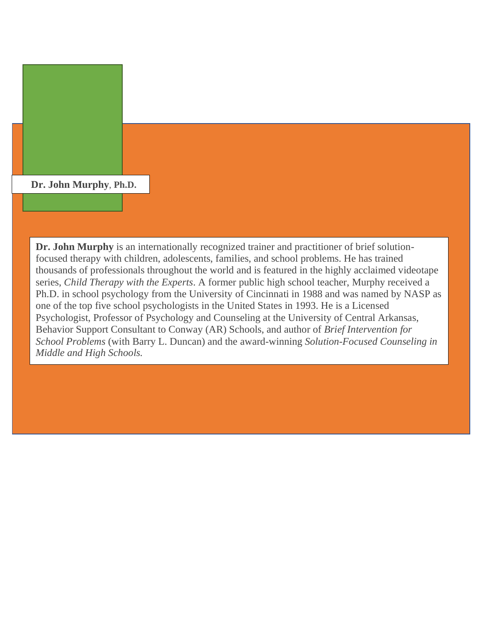**Dr. John Murphy**, **Ph.D.**

j

**Dr. John Murphy** is an internationally recognized trainer and practitioner of brief solutionfocused therapy with children, adolescents, families, and school problems. He has trained thousands of professionals throughout the world and is featured in the highly acclaimed videotape series, *Child Therapy with the Experts*. A former public high school teacher, Murphy received a Ph.D. in school psychology from the University of Cincinnati in 1988 and was named by NASP as one of the top five school psychologists in the United States in 1993. He is a Licensed Psychologist, Professor of Psychology and Counseling at the University of Central Arkansas, Behavior Support Consultant to Conway (AR) Schools, and author of *Brief Intervention for School Problems* (with Barry L. Duncan) and the award-winning *Solution-Focused Counseling in Middle and High Schools.*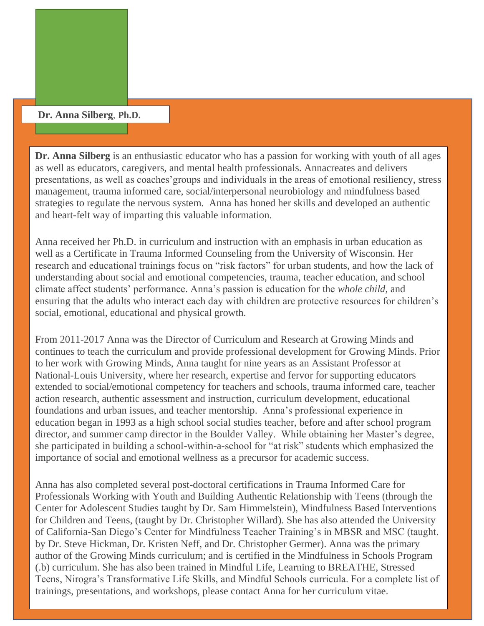## **Dr. Anna Silberg**, **Ph.D.**

**Dr. Anna Silberg** is an enthusiastic educator who has a passion for working with youth of all ages as well as educators, caregivers, and mental health professionals. Annacreates and delivers presentations, as well as coaches'groups and individuals in the areas of emotional resiliency, stress management, trauma informed care, social/interpersonal neurobiology and mindfulness based strategies to regulate the nervous system. Anna has honed her skills and developed an authentic and heart-felt way of imparting this valuable information.

Anna received her Ph.D. in curriculum and instruction with an emphasis in urban education as well as a Certificate in Trauma Informed Counseling from the University of Wisconsin. Her research and educational trainings focus on "risk factors" for urban students, and how the lack of understanding about social and emotional competencies, trauma, teacher education, and school climate affect students' performance. Anna's passion is education for the *whole child*, and ensuring that the adults who interact each day with children are protective resources for children's social, emotional, educational and physical growth.

From 2011-2017 Anna was the Director of Curriculum and Research at Growing Minds and continues to teach the curriculum and provide professional development for Growing Minds. Prior to her work with Growing Minds, Anna taught for nine years as an Assistant Professor at National-Louis University, where her research, expertise and fervor for supporting educators extended to social/emotional competency for teachers and schools, trauma informed care, teacher action research, authentic assessment and instruction, curriculum development, educational foundations and urban issues, and teacher mentorship. Anna's professional experience in education began in 1993 as a high school social studies teacher, before and after school program director, and summer camp director in the Boulder Valley. While obtaining her Master's degree, she participated in building a school-within-a-school for "at risk" students which emphasized the importance of social and emotional wellness as a precursor for academic success.

Anna has also completed several post-doctoral certifications in Trauma Informed Care for Professionals Working with Youth and Building Authentic Relationship with Teens (through the Center for Adolescent Studies taught by Dr. Sam Himmelstein), Mindfulness Based Interventions for Children and Teens, (taught by Dr. Christopher Willard). She has also attended the University of California-San Diego's Center for Mindfulness Teacher Training's in MBSR and MSC (taught. by Dr. Steve Hickman, Dr. Kristen Neff, and Dr. Christopher Germer). Anna was the primary author of the Growing Minds curriculum; and is certified in the Mindfulness in Schools Program (.b) curriculum. She has also been trained in Mindful Life, Learning to BREATHE, Stressed Teens, Nirogra's Transformative Life Skills, and Mindful Schools curricula. For a complete list of trainings, presentations, and workshops, please contact Anna for her curriculum vitae.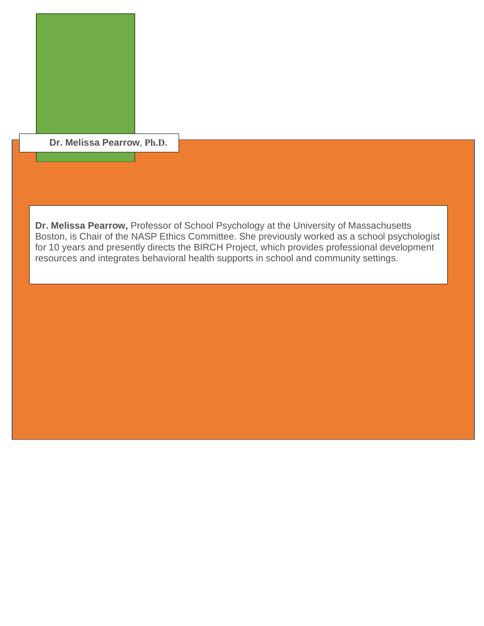

## **Dr. Melissa Pearrow**, **Ph.D.**

**Dr. Melissa Pearrow,** Professor of School Psychology at the University of Massachusetts Boston, is Chair of the NASP Ethics Committee. She previously worked as a school psychologist for 10 years and presently directs the BIRCH Project, which provides professional development resources and integrates behavioral health supports in school and community settings.